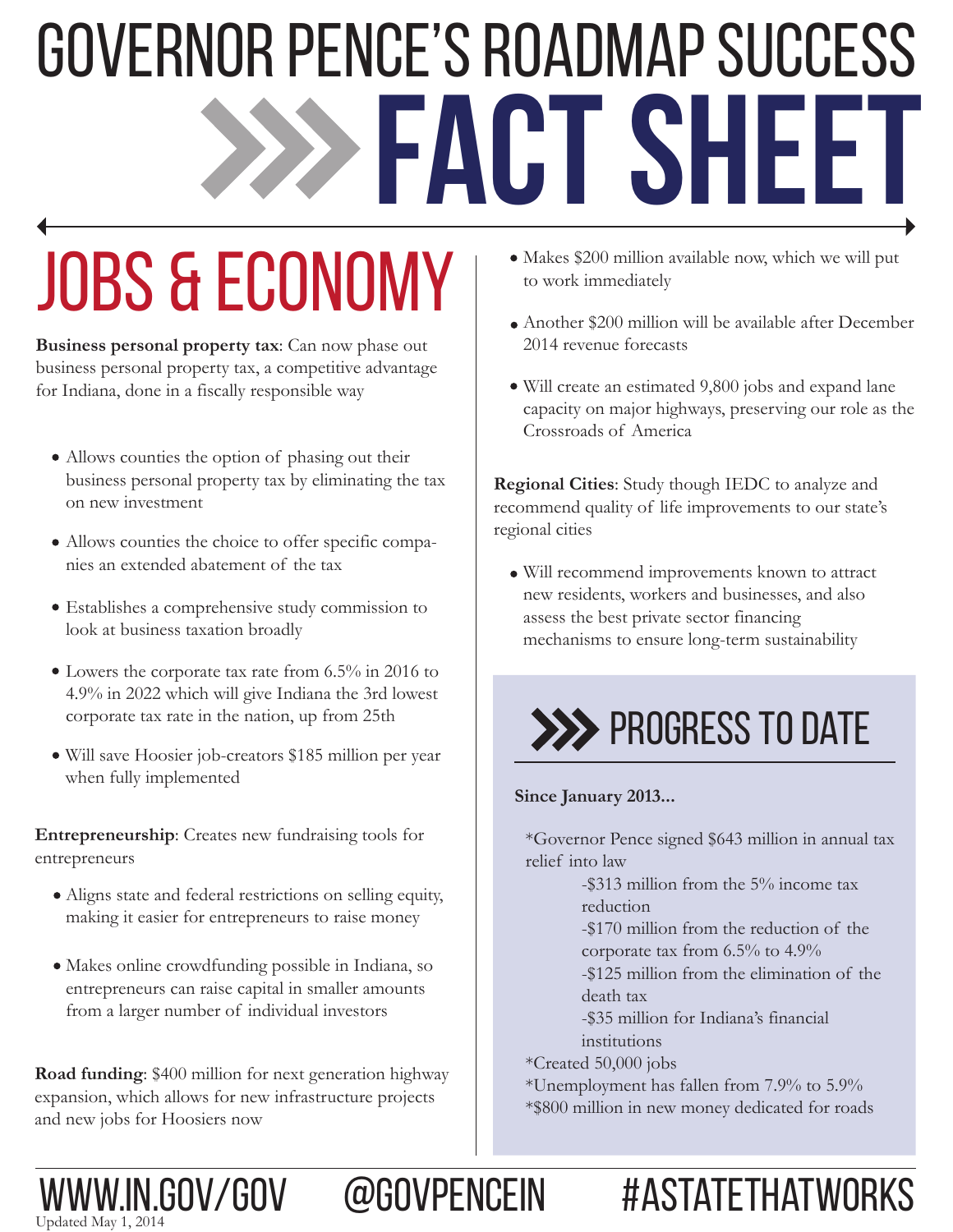# **fact sheet** Governor Pence's roadmap success

## Jobs & Economy

**Business personal property tax**: Can now phase out business personal property tax, a competitive advantage for Indiana, done in a fiscally responsible way

- Allows counties the option of phasing out their business personal property tax by eliminating the tax on new investment
- Allows counties the choice to offer specific companies an extended abatement of the tax
- Establishes a comprehensive study commission to look at business taxation broadly
- Lowers the corporate tax rate from 6.5% in 2016 to 4.9% in 2022 which will give Indiana the 3rd lowest corporate tax rate in the nation, up from 25th
- Will save Hoosier job-creators \$185 million per year when fully implemented

**Entrepreneurship**: Creates new fundraising tools for entrepreneurs

- Aligns state and federal restrictions on selling equity, making it easier for entrepreneurs to raise money
- Makes online crowdfunding possible in Indiana, so entrepreneurs can raise capital in smaller amounts from a larger number of individual investors

**Road funding**: \$400 million for next generation highway expansion, which allows for new infrastructure projects and new jobs for Hoosiers now

Updated May 1, 2014

- Makes \$200 million available now, which we will put to work immediately
- Another \$200 million will be available after December 2014 revenue forecasts
- Will create an estimated 9,800 jobs and expand lane capacity on major highways, preserving our role as the Crossroads of America

**Regional Cities**: Study though IEDC to analyze and recommend quality of life improvements to our state's regional cities

Will recommend improvements known to attract new residents, workers and businesses, and also assess the best private sector financing mechanisms to ensure long-term sustainability



#### **Since January 2013...**

\*Governor Pence signed \$643 million in annual tax relief into law

> -\$313 million from the 5% income tax reduction

-\$170 million from the reduction of the

corporate tax from 6.5% to 4.9%

 -\$125 million from the elimination of the death tax

 -\$35 million for Indiana's financial institutions

\*Created 50,000 jobs

www.in.gov/gov @govpencein #AStateThatworks

\*Unemployment has fallen from 7.9% to 5.9% \*\$800 million in new money dedicated for roads